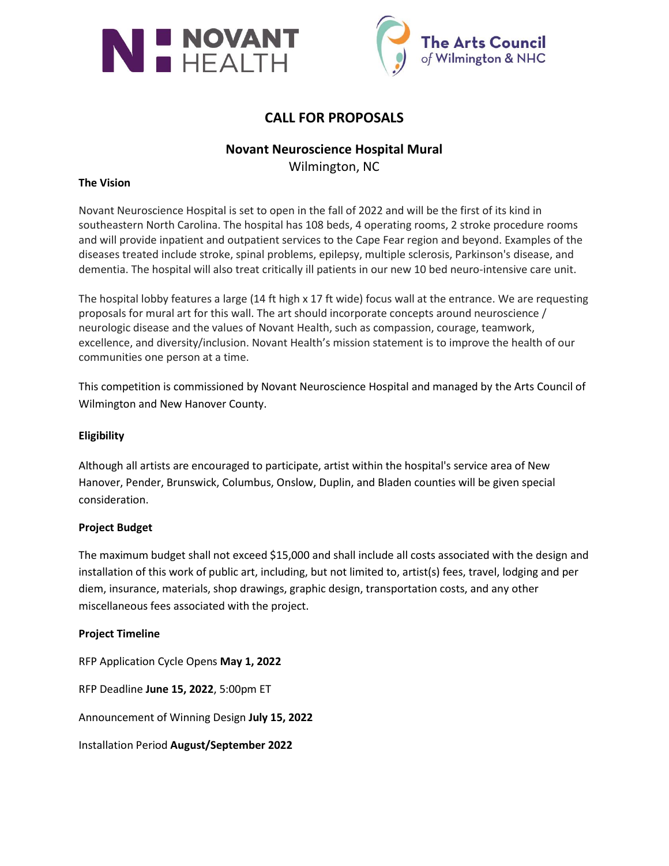



# **CALL FOR PROPOSALS**

# **Novant Neuroscience Hospital Mural** Wilmington, NC

#### **The Vision**

Novant Neuroscience Hospital is set to open in the fall of 2022 and will be the first of its kind in southeastern North Carolina. The hospital has 108 beds, 4 operating rooms, 2 stroke procedure rooms and will provide inpatient and outpatient services to the Cape Fear region and beyond. Examples of the diseases treated include stroke, spinal problems, epilepsy, multiple sclerosis, Parkinson's disease, and dementia. The hospital will also treat critically ill patients in our new 10 bed neuro-intensive care unit.

The hospital lobby features a large (14 ft high x 17 ft wide) focus wall at the entrance. We are requesting proposals for mural art for this wall. The art should incorporate concepts around neuroscience / neurologic disease and the values of Novant Health, such as compassion, courage, teamwork, excellence, and diversity/inclusion. Novant Health's mission statement is to improve the health of our communities one person at a time.

This competition is commissioned by Novant Neuroscience Hospital and managed by the Arts Council of Wilmington and New Hanover County.

#### **Eligibility**

Although all artists are encouraged to participate, artist within the hospital's service area of New Hanover, Pender, Brunswick, Columbus, Onslow, Duplin, and Bladen counties will be given special consideration.

#### **Project Budget**

The maximum budget shall not exceed \$15,000 and shall include all costs associated with the design and installation of this work of public art, including, but not limited to, artist(s) fees, travel, lodging and per diem, insurance, materials, shop drawings, graphic design, transportation costs, and any other miscellaneous fees associated with the project.

#### **Project Timeline**

RFP Application Cycle Opens **May 1, 2022** RFP Deadline **June 15, 2022**, 5:00pm ET Announcement of Winning Design **July 15, 2022** Installation Period **August/September 2022**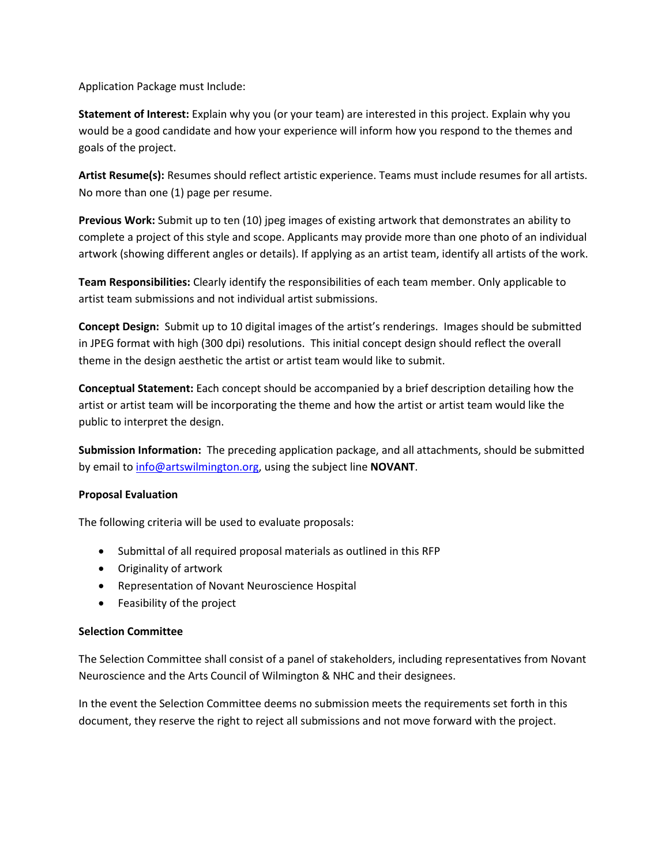Application Package must Include:

**Statement of Interest:** Explain why you (or your team) are interested in this project. Explain why you would be a good candidate and how your experience will inform how you respond to the themes and goals of the project.

**Artist Resume(s):** Resumes should reflect artistic experience. Teams must include resumes for all artists. No more than one (1) page per resume.

**Previous Work:** Submit up to ten (10) jpeg images of existing artwork that demonstrates an ability to complete a project of this style and scope. Applicants may provide more than one photo of an individual artwork (showing different angles or details). If applying as an artist team, identify all artists of the work.

**Team Responsibilities:** Clearly identify the responsibilities of each team member. Only applicable to artist team submissions and not individual artist submissions.

**Concept Design:** Submit up to 10 digital images of the artist's renderings. Images should be submitted in JPEG format with high (300 dpi) resolutions. This initial concept design should reflect the overall theme in the design aesthetic the artist or artist team would like to submit.

**Conceptual Statement:** Each concept should be accompanied by a brief description detailing how the artist or artist team will be incorporating the theme and how the artist or artist team would like the public to interpret the design.

**Submission Information:** The preceding application package, and all attachments, should be submitted by email to [info@artswilmington.org,](mailto:info@artswilmington.org) using the subject line **NOVANT**.

# **Proposal Evaluation**

The following criteria will be used to evaluate proposals:

- Submittal of all required proposal materials as outlined in this RFP
- Originality of artwork
- Representation of Novant Neuroscience Hospital
- Feasibility of the project

#### **Selection Committee**

The Selection Committee shall consist of a panel of stakeholders, including representatives from Novant Neuroscience and the Arts Council of Wilmington & NHC and their designees.

In the event the Selection Committee deems no submission meets the requirements set forth in this document, they reserve the right to reject all submissions and not move forward with the project.